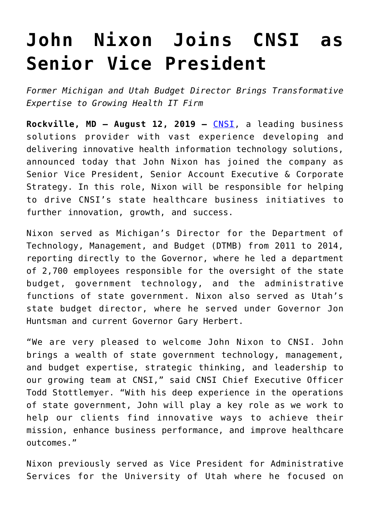## **[John Nixon Joins CNSI as](https://www.cns-inc.com/insights/press-releases/john-nixon-joins-cnsi-as-senior-vice-president/) [Senior Vice President](https://www.cns-inc.com/insights/press-releases/john-nixon-joins-cnsi-as-senior-vice-president/)**

*Former Michigan and Utah Budget Director Brings Transformative Expertise to Growing Health IT Firm*

**Rockville, MD – August 12, 2019 –** [CNSI,](https://www.cns-inc.com/) a leading business solutions provider with vast experience developing and delivering innovative health information technology solutions, announced today that John Nixon has joined the company as Senior Vice President, Senior Account Executive & Corporate Strategy. In this role, Nixon will be responsible for helping to drive CNSI's state healthcare business initiatives to further innovation, growth, and success.

Nixon served as Michigan's Director for the Department of Technology, Management, and Budget (DTMB) from 2011 to 2014, reporting directly to the Governor, where he led a department of 2,700 employees responsible for the oversight of the state budget, government technology, and the administrative functions of state government. Nixon also served as Utah's state budget director, where he served under Governor Jon Huntsman and current Governor Gary Herbert.

"We are very pleased to welcome John Nixon to CNSI. John brings a wealth of state government technology, management, and budget expertise, strategic thinking, and leadership to our growing team at CNSI," said CNSI Chief Executive Officer Todd Stottlemyer. "With his deep experience in the operations of state government, John will play a key role as we work to help our clients find innovative ways to achieve their mission, enhance business performance, and improve healthcare outcomes."

Nixon previously served as Vice President for Administrative Services for the University of Utah where he focused on